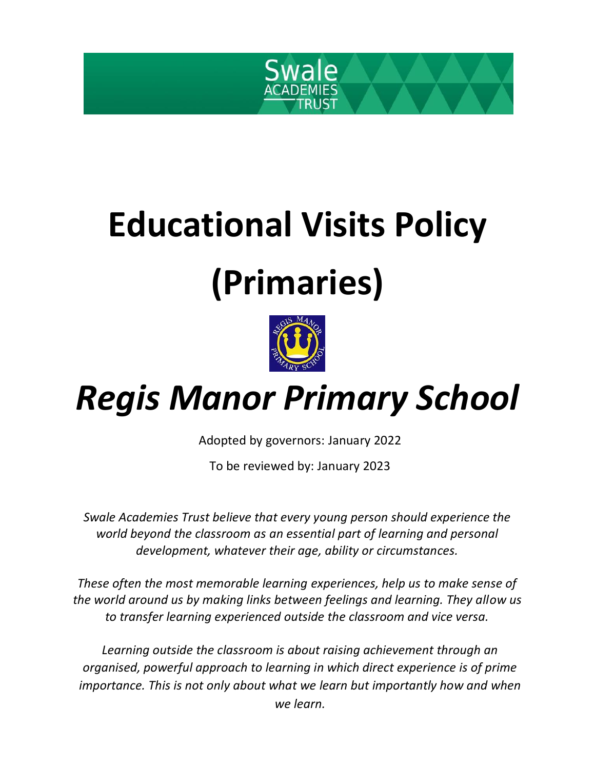

# **Educational Visits Policy (Primaries)**



# *Regis Manor Primary School*

Adopted by governors: January 2022

To be reviewed by: January 2023

*Swale Academies Trust believe that every young person should experience the world beyond the classroom as an essential part of learning and personal development, whatever their age, ability or circumstances.*

*These often the most memorable learning experiences, help us to make sense of the world around us by making links between feelings and learning. They allow us to transfer learning experienced outside the classroom and vice versa.*

*Learning outside the classroom is about raising achievement through an organised, powerful approach to learning in which direct experience is of prime importance. This is not only about what we learn but importantly how and when we learn.*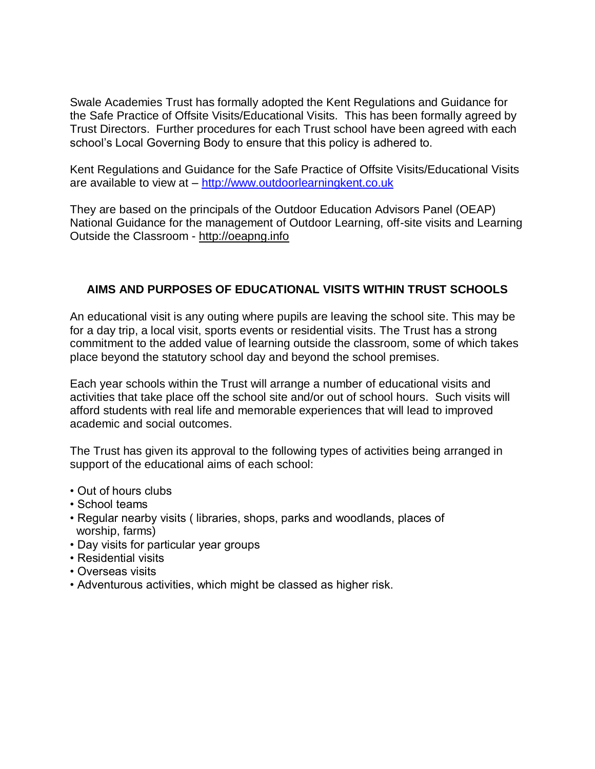Swale Academies Trust has formally adopted the Kent Regulations and Guidance for the Safe Practice of Offsite Visits/Educational Visits. This has been formally agreed by Trust Directors. Further procedures for each Trust school have been agreed with each school's Local Governing Body to ensure that this policy is adhered to.

Kent Regulations and Guidance for the Safe Practice of Offsite Visits/Educational Visits are available to view at – [http://www.outdoorlearningkent.co.uk](http://www.outdoorlearningkent.co.uk/)

They are based on the principals of the Outdoor Education Advisors Panel (OEAP) National Guidance for the management of Outdoor Learning, off-site visits and Learning Outside the Classroom - [http://oeapng.info](http://oeapng.info/)

#### **AIMS AND PURPOSES OF EDUCATIONAL VISITS WITHIN TRUST SCHOOLS**

An educational visit is any outing where pupils are leaving the school site. This may be for a day trip, a local visit, sports events or residential visits. The Trust has a strong commitment to the added value of learning outside the classroom, some of which takes place beyond the statutory school day and beyond the school premises.

Each year schools within the Trust will arrange a number of educational visits and activities that take place off the school site and/or out of school hours. Such visits will afford students with real life and memorable experiences that will lead to improved academic and social outcomes.

The Trust has given its approval to the following types of activities being arranged in support of the educational aims of each school:

- Out of hours clubs
- School teams
- Regular nearby visits ( libraries, shops, parks and woodlands, places of worship, farms)
- Day visits for particular year groups
- Residential visits
- Overseas visits
- Adventurous activities, which might be classed as higher risk.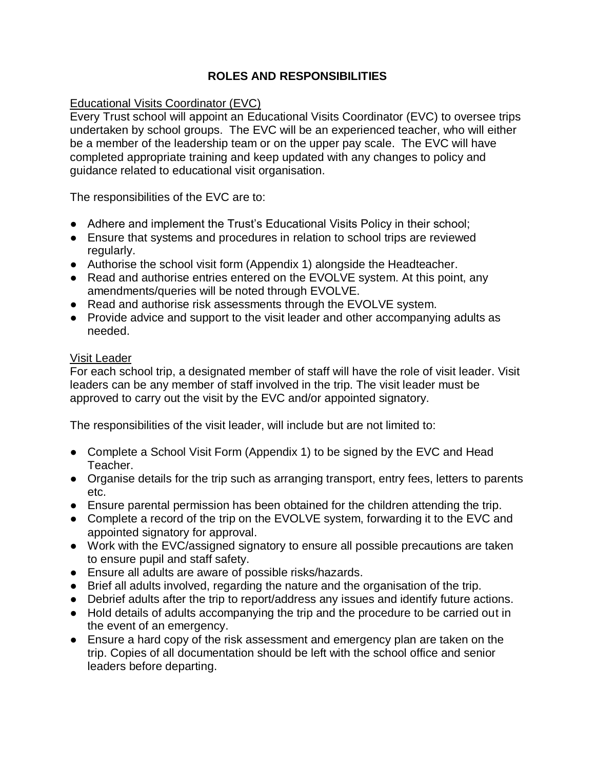#### **ROLES AND RESPONSIBILITIES**

#### Educational Visits Coordinator (EVC)

Every Trust school will appoint an Educational Visits Coordinator (EVC) to oversee trips undertaken by school groups. The EVC will be an experienced teacher, who will either be a member of the leadership team or on the upper pay scale. The EVC will have completed appropriate training and keep updated with any changes to policy and guidance related to educational visit organisation.

The responsibilities of the EVC are to:

- Adhere and implement the Trust's Educational Visits Policy in their school;
- Ensure that systems and procedures in relation to school trips are reviewed regularly.
- Authorise the school visit form (Appendix 1) alongside the Headteacher.
- Read and authorise entries entered on the EVOLVE system. At this point, any amendments/queries will be noted through EVOLVE.
- Read and authorise risk assessments through the EVOLVE system.
- Provide advice and support to the visit leader and other accompanying adults as needed.

#### Visit Leader

For each school trip, a designated member of staff will have the role of visit leader. Visit leaders can be any member of staff involved in the trip. The visit leader must be approved to carry out the visit by the EVC and/or appointed signatory.

The responsibilities of the visit leader, will include but are not limited to:

- Complete a School Visit Form (Appendix 1) to be signed by the EVC and Head Teacher.
- Organise details for the trip such as arranging transport, entry fees, letters to parents etc.
- Ensure parental permission has been obtained for the children attending the trip.
- Complete a record of the trip on the EVOLVE system, forwarding it to the EVC and appointed signatory for approval.
- Work with the EVC/assigned signatory to ensure all possible precautions are taken to ensure pupil and staff safety.
- Ensure all adults are aware of possible risks/hazards.
- Brief all adults involved, regarding the nature and the organisation of the trip.
- Debrief adults after the trip to report/address any issues and identify future actions.
- Hold details of adults accompanying the trip and the procedure to be carried out in the event of an emergency.
- Ensure a hard copy of the risk assessment and emergency plan are taken on the trip. Copies of all documentation should be left with the school office and senior leaders before departing.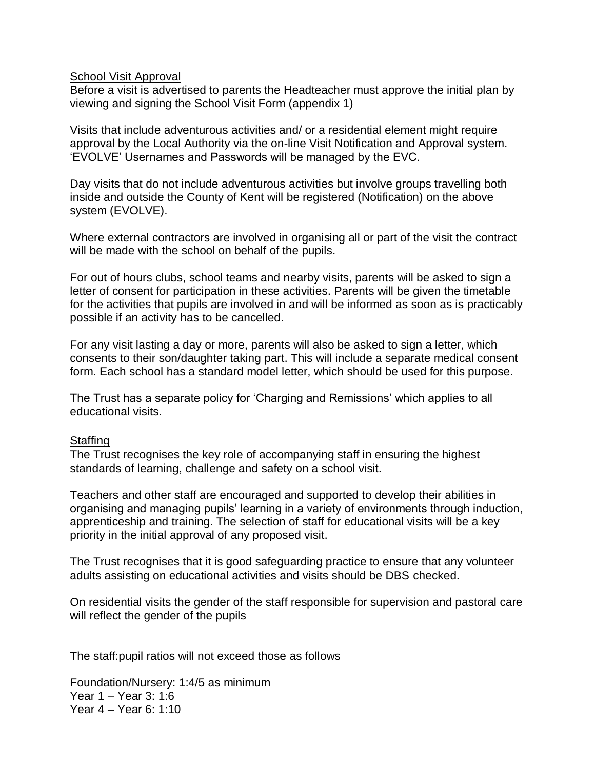#### **School Visit Approval**

Before a visit is advertised to parents the Headteacher must approve the initial plan by viewing and signing the School Visit Form (appendix 1)

Visits that include adventurous activities and/ or a residential element might require approval by the Local Authority via the on-line Visit Notification and Approval system. 'EVOLVE' Usernames and Passwords will be managed by the EVC.

Day visits that do not include adventurous activities but involve groups travelling both inside and outside the County of Kent will be registered (Notification) on the above system (EVOLVE).

Where external contractors are involved in organising all or part of the visit the contract will be made with the school on behalf of the pupils.

For out of hours clubs, school teams and nearby visits, parents will be asked to sign a letter of consent for participation in these activities. Parents will be given the timetable for the activities that pupils are involved in and will be informed as soon as is practicably possible if an activity has to be cancelled.

For any visit lasting a day or more, parents will also be asked to sign a letter, which consents to their son/daughter taking part. This will include a separate medical consent form. Each school has a standard model letter, which should be used for this purpose.

The Trust has a separate policy for 'Charging and Remissions' which applies to all educational visits.

#### **Staffing**

The Trust recognises the key role of accompanying staff in ensuring the highest standards of learning, challenge and safety on a school visit.

Teachers and other staff are encouraged and supported to develop their abilities in organising and managing pupils' learning in a variety of environments through induction, apprenticeship and training. The selection of staff for educational visits will be a key priority in the initial approval of any proposed visit.

The Trust recognises that it is good safeguarding practice to ensure that any volunteer adults assisting on educational activities and visits should be DBS checked.

On residential visits the gender of the staff responsible for supervision and pastoral care will reflect the gender of the pupils

The staff:pupil ratios will not exceed those as follows

Foundation/Nursery: 1:4/5 as minimum Year 1 – Year 3: 1:6 Year 4 – Year 6: 1:10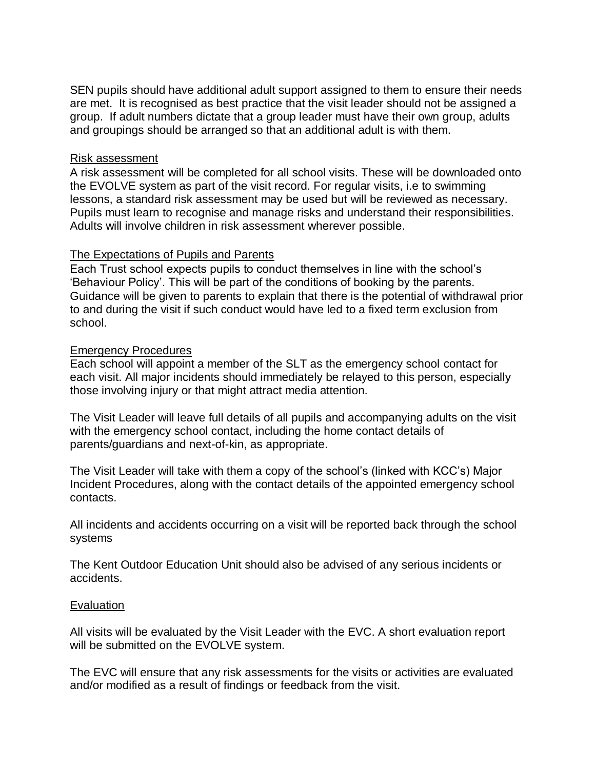SEN pupils should have additional adult support assigned to them to ensure their needs are met. It is recognised as best practice that the visit leader should not be assigned a group. If adult numbers dictate that a group leader must have their own group, adults and groupings should be arranged so that an additional adult is with them.

#### Risk assessment

A risk assessment will be completed for all school visits. These will be downloaded onto the EVOLVE system as part of the visit record. For regular visits, i.e to swimming lessons, a standard risk assessment may be used but will be reviewed as necessary. Pupils must learn to recognise and manage risks and understand their responsibilities. Adults will involve children in risk assessment wherever possible.

#### The Expectations of Pupils and Parents

Each Trust school expects pupils to conduct themselves in line with the school's 'Behaviour Policy'. This will be part of the conditions of booking by the parents. Guidance will be given to parents to explain that there is the potential of withdrawal prior to and during the visit if such conduct would have led to a fixed term exclusion from school.

#### Emergency Procedures

Each school will appoint a member of the SLT as the emergency school contact for each visit. All major incidents should immediately be relayed to this person, especially those involving injury or that might attract media attention.

The Visit Leader will leave full details of all pupils and accompanying adults on the visit with the emergency school contact, including the home contact details of parents/guardians and next-of-kin, as appropriate.

The Visit Leader will take with them a copy of the school's (linked with KCC's) Major Incident Procedures, along with the contact details of the appointed emergency school contacts.

All incidents and accidents occurring on a visit will be reported back through the school systems

The Kent Outdoor Education Unit should also be advised of any serious incidents or accidents.

#### **Evaluation**

All visits will be evaluated by the Visit Leader with the EVC. A short evaluation report will be submitted on the EVOLVE system.

The EVC will ensure that any risk assessments for the visits or activities are evaluated and/or modified as a result of findings or feedback from the visit.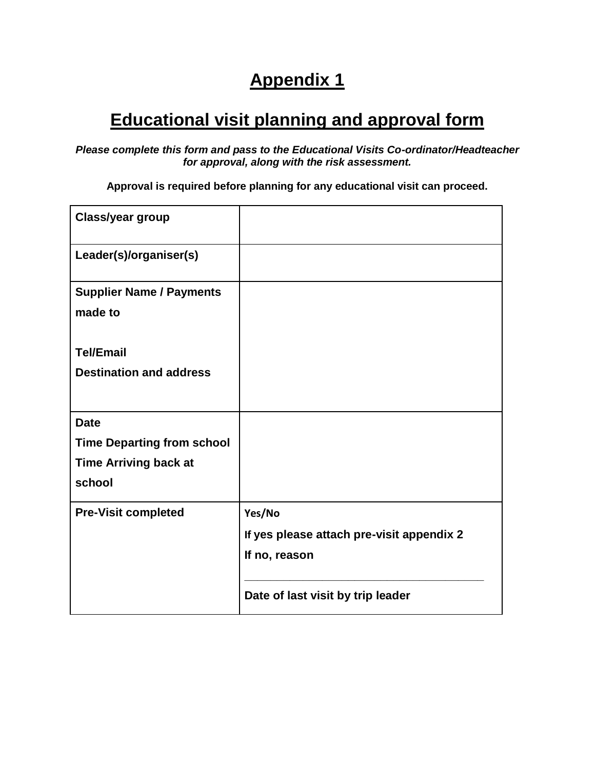### **Appendix 1**

## **Educational visit planning and approval form**

*Please complete this form and pass to the Educational Visits Co-ordinator/Headteacher for approval, along with the risk assessment.*

**Approval is required before planning for any educational visit can proceed.**

| <b>Class/year group</b>           |                                           |
|-----------------------------------|-------------------------------------------|
| Leader(s)/organiser(s)            |                                           |
| <b>Supplier Name / Payments</b>   |                                           |
| made to                           |                                           |
| <b>Tel/Email</b>                  |                                           |
| <b>Destination and address</b>    |                                           |
|                                   |                                           |
| <b>Date</b>                       |                                           |
| <b>Time Departing from school</b> |                                           |
| <b>Time Arriving back at</b>      |                                           |
| school                            |                                           |
| <b>Pre-Visit completed</b>        | Yes/No                                    |
|                                   | If yes please attach pre-visit appendix 2 |
|                                   | If no, reason                             |
|                                   | Date of last visit by trip leader         |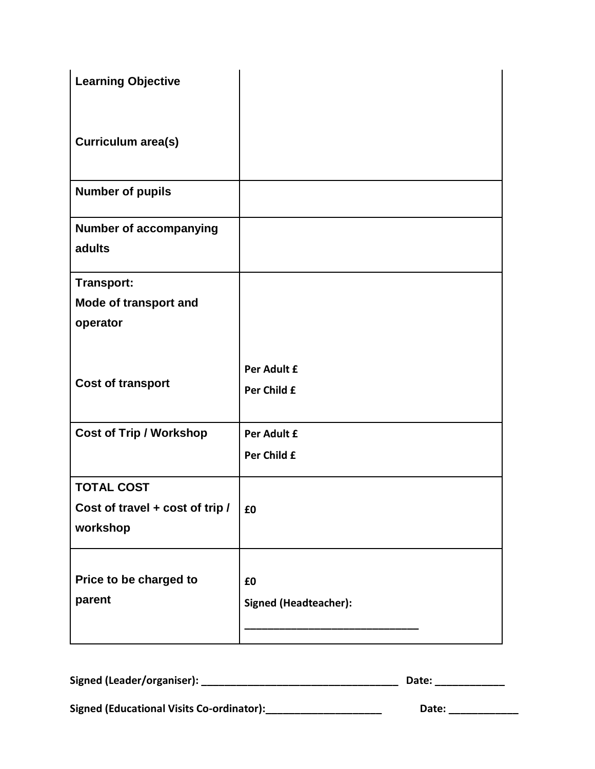| <b>Learning Objective</b>        |                                    |
|----------------------------------|------------------------------------|
| Curriculum area(s)               |                                    |
| <b>Number of pupils</b>          |                                    |
| <b>Number of accompanying</b>    |                                    |
| adults                           |                                    |
| <b>Transport:</b>                |                                    |
| Mode of transport and            |                                    |
| operator                         |                                    |
| <b>Cost of transport</b>         | Per Adult £<br>Per Child £         |
| <b>Cost of Trip / Workshop</b>   | Per Adult £                        |
|                                  | Per Child £                        |
| <b>TOTAL COST</b>                |                                    |
| Cost of travel + cost of trip /  | £0                                 |
| workshop                         |                                    |
| Price to be charged to<br>parent | £0<br><b>Signed (Headteacher):</b> |

| Signed (Leader/organiser):                       | Date: |
|--------------------------------------------------|-------|
| <b>Signed (Educational Visits Co-ordinator):</b> | Date: |